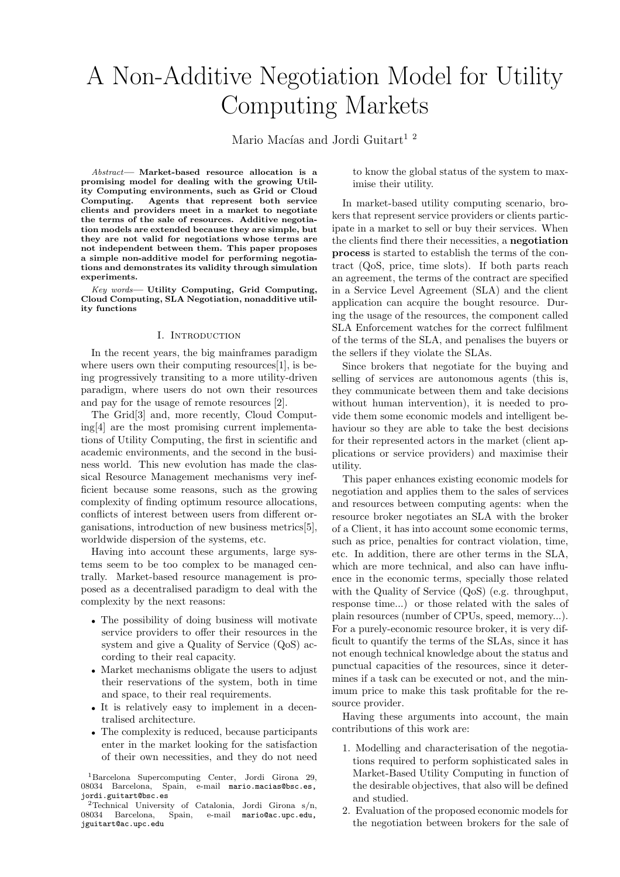# A Non-Additive Negotiation Model for Utility Computing Markets

Mario Macías and Jordi Guitart<sup>12</sup>

*Abstract*— Market-based resource allocation is a promising model for dealing with the growing Utility Computing environments, such as Grid or Cloud Computing. Agents that represent both service clients and providers meet in a market to negotiate the terms of the sale of resources. Additive negotiation models are extended because they are simple, but they are not valid for negotiations whose terms are not independent between them. This paper proposes a simple non-additive model for performing negotiations and demonstrates its validity through simulation experiments.

*Key words*— Utility Computing, Grid Computing, Cloud Computing, SLA Negotiation, nonadditive utility functions

#### I. Introduction

In the recent years, the big mainframes paradigm where users own their computing resources [1], is being progressively transiting to a more utility-driven paradigm, where users do not own their resources and pay for the usage of remote resources [2].

The Grid[3] and, more recently, Cloud Computing[4] are the most promising current implementations of Utility Computing, the first in scientific and academic environments, and the second in the business world. This new evolution has made the classical Resource Management mechanisms very inefficient because some reasons, such as the growing complexity of finding optimum resource allocations, conflicts of interest between users from different organisations, introduction of new business metrics[5], worldwide dispersion of the systems, etc.

Having into account these arguments, large systems seem to be too complex to be managed centrally. Market-based resource management is proposed as a decentralised paradigm to deal with the complexity by the next reasons:

- The possibility of doing business will motivate service providers to offer their resources in the system and give a Quality of Service (QoS) according to their real capacity.
- Market mechanisms obligate the users to adjust their reservations of the system, both in time and space, to their real requirements.
- It is relatively easy to implement in a decentralised architecture.
- The complexity is reduced, because participants enter in the market looking for the satisfaction of their own necessities, and they do not need

<sup>1</sup>Barcelona Supercomputing Center, Jordi Girona 29, 08034 Barcelona, Spain, e-mail mario.macias@bsc.es, jordi.guitart@bsc.es

to know the global status of the system to maximise their utility.

In market-based utility computing scenario, brokers that represent service providers or clients participate in a market to sell or buy their services. When the clients find there their necessities, a negotiation process is started to establish the terms of the contract (QoS, price, time slots). If both parts reach an agreement, the terms of the contract are specified in a Service Level Agreement (SLA) and the client application can acquire the bought resource. During the usage of the resources, the component called SLA Enforcement watches for the correct fulfilment of the terms of the SLA, and penalises the buyers or the sellers if they violate the SLAs.

Since brokers that negotiate for the buying and selling of services are autonomous agents (this is, they communicate between them and take decisions without human intervention), it is needed to provide them some economic models and intelligent behaviour so they are able to take the best decisions for their represented actors in the market (client applications or service providers) and maximise their utility.

This paper enhances existing economic models for negotiation and applies them to the sales of services and resources between computing agents: when the resource broker negotiates an SLA with the broker of a Client, it has into account some economic terms, such as price, penalties for contract violation, time, etc. In addition, there are other terms in the SLA, which are more technical, and also can have influence in the economic terms, specially those related with the Quality of Service (QoS) (e.g. throughput, response time...) or those related with the sales of plain resources (number of CPUs, speed, memory...). For a purely-economic resource broker, it is very difficult to quantify the terms of the SLAs, since it has not enough technical knowledge about the status and punctual capacities of the resources, since it determines if a task can be executed or not, and the minimum price to make this task profitable for the resource provider.

Having these arguments into account, the main contributions of this work are:

- 1. Modelling and characterisation of the negotiations required to perform sophisticated sales in Market-Based Utility Computing in function of the desirable objectives, that also will be defined and studied.
- 2. Evaluation of the proposed economic models for the negotiation between brokers for the sale of

<sup>&</sup>lt;sup>2</sup>Technical University of Catalonia, Jordi Girona s/n, 08034 Barcelona, Spain, e-mail mario@ac.upc.edu, Spain, e-mail mario@ac.upc.edu, jguitart@ac.upc.edu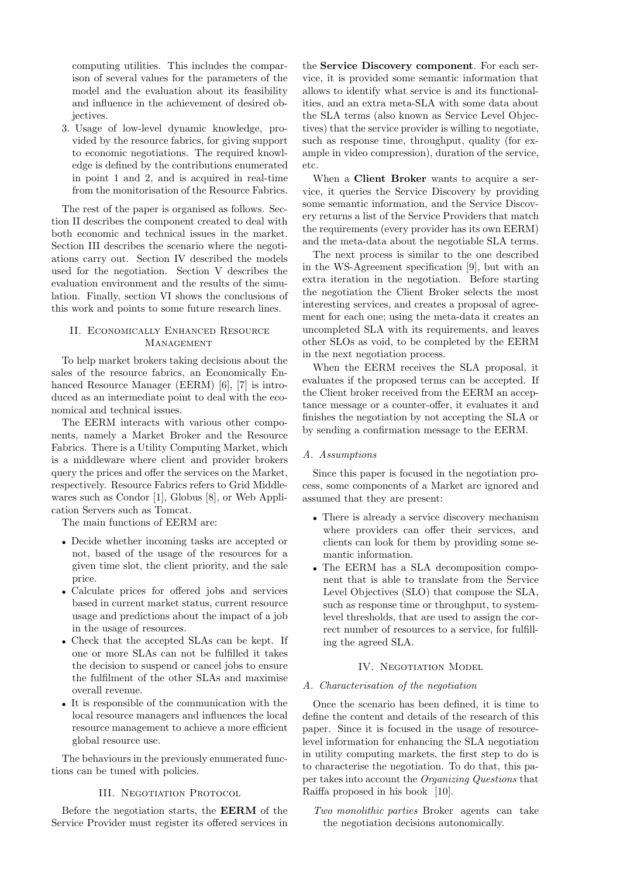computing utilities. This includes the comparison of several values for the parameters of the model and the evaluation about its feasibility and influence in the achievement of desired objectives.

3. Usage of low-level dynamic knowledge, provided by the resource fabrics, for giving support to economic negotiations. The required knowledge is defined by the contributions enumerated in point 1 and 2, and is acquired in real-time from the monitorisation of the Resource Fabrics.

The rest of the paper is organised as follows. Section II describes the component created to deal with both economic and technical issues in the market. Section III describes the scenario where the negotiations carry out. Section IV described the models used for the negotiation. Section V describes the evaluation environment and the results of the simulation. Finally, section VI shows the conclusions of this work and points to some future research lines.

## II. Economically Enhanced Resource **MANAGEMENT**

To help market brokers taking decisions about the sales of the resource fabrics, an Economically Enhanced Resource Manager (EERM) [6], [7] is introduced as an intermediate point to deal with the economical and technical issues.

The EERM interacts with various other components, namely a Market Broker and the Resource Fabrics. There is a Utility Computing Market, which is a middleware where client and provider brokers query the prices and offer the services on the Market, respectively. Resource Fabrics refers to Grid Middlewares such as Condor [1], Globus [8], or Web Application Servers such as Tomcat.

The main functions of EERM are:

- Decide whether incoming tasks are accepted or not, based of the usage of the resources for a given time slot, the client priority, and the sale price.
- Calculate prices for offered jobs and services based in current market status, current resource usage and predictions about the impact of a job in the usage of resources.
- Check that the accepted SLAs can be kept. If one or more SLAs can not be fulfilled it takes the decision to suspend or cancel jobs to ensure the fulfilment of the other SLAs and maximise overall revenue.
- It is responsible of the communication with the local resource managers and influences the local resource management to achieve a more efficient global resource use.

The behaviours in the previously enumerated functions can be tuned with policies.

# III. NEGOTIATION PROTOCOL

Before the negotiation starts, the EERM of the Service Provider must register its offered services in

the Service Discovery component. For each service, it is provided some semantic information that allows to identify what service is and its functionalities, and an extra meta-SLA with some data about the SLA terms (also known as Service Level Objectives) that the service provider is willing to negotiate, such as response time, throughput, quality (for example in video compression), duration of the service, etc.

When a **Client Broker** wants to acquire a service, it queries the Service Discovery by providing some semantic information, and the Service Discovery returns a list of the Service Providers that match the requirements (every provider has its own EERM) and the meta-data about the negotiable SLA terms.

The next process is similar to the one described in the WS-Agreement specification [9], but with an extra iteration in the negotiation. Before starting the negotiation the Client Broker selects the most interesting services, and creates a proposal of agreement for each one; using the meta-data it creates an uncompleted SLA with its requirements, and leaves other SLOs as void, to be completed by the EERM in the next negotiation process.

When the EERM receives the SLA proposal, it evaluates if the proposed terms can be accepted. If the Client broker received from the EERM an acceptance message or a counter-offer, it evaluates it and finishes the negotiation by not accepting the SLA or by sending a confirmation message to the EERM.

#### A. Assumptions

Since this paper is focused in the negotiation process, some components of a Market are ignored and assumed that they are present:

- There is already a service discovery mechanism where providers can offer their services, and clients can look for them by providing some semantic information.
- The EERM has a SLA decomposition component that is able to translate from the Service Level Objectives (SLO) that compose the SLA, such as response time or throughput, to systemlevel thresholds, that are used to assign the correct number of resources to a service, for fulfilling the agreed SLA.

## IV. NEGOTIATION MODEL

# A. Characterisation of the negotiation

Once the scenario has been defined, it is time to define the content and details of the research of this paper. Since it is focused in the usage of resourcelevel information for enhancing the SLA negotiation in utility computing markets, the first step to do is to characterise the negotiation. To do that, this paper takes into account the Organizing Questions that Raiffa proposed in his book [10].

Two monolithic parties Broker agents can take the negotiation decisions autonomically.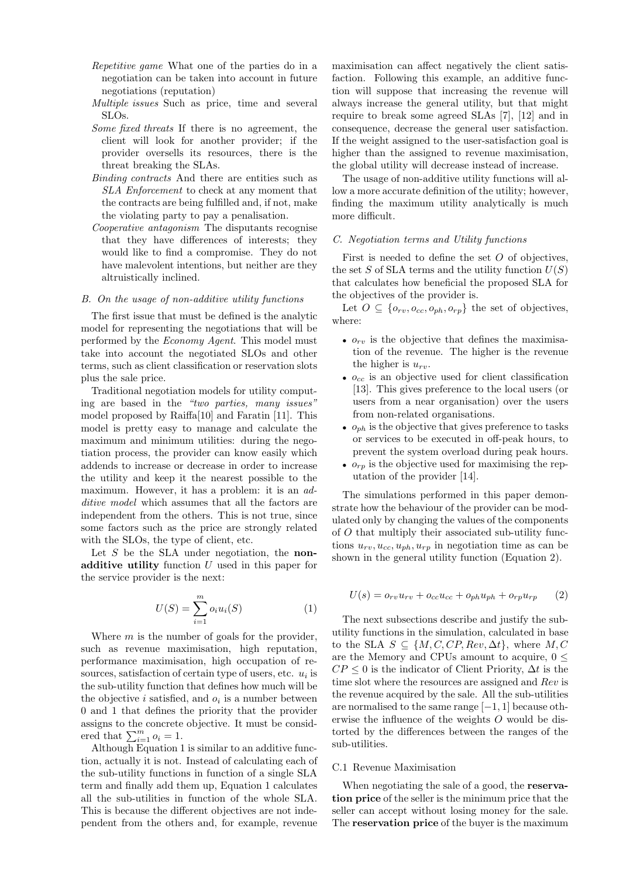- Repetitive game What one of the parties do in a negotiation can be taken into account in future negotiations (reputation)
- Multiple issues Such as price, time and several SLOs.
- Some fixed threats If there is no agreement, the client will look for another provider; if the provider oversells its resources, there is the threat breaking the SLAs.
- Binding contracts And there are entities such as SLA Enforcement to check at any moment that the contracts are being fulfilled and, if not, make the violating party to pay a penalisation.
- Cooperative antagonism The disputants recognise that they have differences of interests; they would like to find a compromise. They do not have malevolent intentions, but neither are they altruistically inclined.

## B. On the usage of non-additive utility functions

The first issue that must be defined is the analytic model for representing the negotiations that will be performed by the Economy Agent. This model must take into account the negotiated SLOs and other terms, such as client classification or reservation slots plus the sale price.

Traditional negotiation models for utility computing are based in the "two parties, many issues" model proposed by Raiffa[10] and Faratin [11]. This model is pretty easy to manage and calculate the maximum and minimum utilities: during the negotiation process, the provider can know easily which addends to increase or decrease in order to increase the utility and keep it the nearest possible to the maximum. However, it has a problem: it is an *ad*ditive model which assumes that all the factors are independent from the others. This is not true, since some factors such as the price are strongly related with the SLOs, the type of client, etc.

Let  $S$  be the SLA under negotiation, the nonadditive utility function  $U$  used in this paper for the service provider is the next:

$$
U(S) = \sum_{i=1}^{m} o_i u_i(S)
$$
 (1)

Where  $m$  is the number of goals for the provider, such as revenue maximisation, high reputation, performance maximisation, high occupation of resources, satisfaction of certain type of users, etc.  $u_i$  is the sub-utility function that defines how much will be the objective *i* satisfied, and  $o_i$  is a number between 0 and 1 that defines the priority that the provider assigns to the concrete objective. It must be considered that  $\sum_{i=1}^{m} o_i = 1$ .

Although Equation 1 is similar to an additive function, actually it is not. Instead of calculating each of the sub-utility functions in function of a single SLA term and finally add them up, Equation 1 calculates all the sub-utilities in function of the whole SLA. This is because the different objectives are not independent from the others and, for example, revenue maximisation can affect negatively the client satisfaction. Following this example, an additive function will suppose that increasing the revenue will always increase the general utility, but that might require to break some agreed SLAs [7], [12] and in consequence, decrease the general user satisfaction. If the weight assigned to the user-satisfaction goal is higher than the assigned to revenue maximisation, the global utility will decrease instead of increase.

The usage of non-additive utility functions will allow a more accurate definition of the utility; however, finding the maximum utility analytically is much more difficult.

## C. Negotiation terms and Utility functions

First is needed to define the set  $O$  of objectives, the set S of SLA terms and the utility function  $U(S)$ that calculates how beneficial the proposed SLA for the objectives of the provider is.

Let  $O \subseteq \{o_{rv}, o_{cc}, o_{ph}, o_{rp}\}\$ the set of objectives, where:

- $o_{rv}$  is the objective that defines the maximisation of the revenue. The higher is the revenue the higher is  $u_{rv}$ .
- $o_{cc}$  is an objective used for client classification [13]. This gives preference to the local users (or users from a near organisation) over the users from non-related organisations.
- $o_{ph}$  is the objective that gives preference to tasks or services to be executed in off-peak hours, to prevent the system overload during peak hours.
- $o_{rn}$  is the objective used for maximising the reputation of the provider [14].

The simulations performed in this paper demonstrate how the behaviour of the provider can be modulated only by changing the values of the components of O that multiply their associated sub-utility functions  $u_{rv}, u_{cc}, u_{ph}, u_{rp}$  in negotiation time as can be shown in the general utility function (Equation 2).

$$
U(s) = o_{rv}u_{rv} + o_{cc}u_{cc} + o_{ph}u_{ph} + o_{rp}u_{rp}
$$
 (2)

The next subsections describe and justify the subutility functions in the simulation, calculated in base to the SLA  $S \subseteq \{M, C, CP, Rev, \Delta t\}$ , where  $M, C$ are the Memory and CPUs amount to acquire,  $0 \leq$  $CP \leq 0$  is the indicator of Client Priority,  $\Delta t$  is the time slot where the resources are assigned and Rev is the revenue acquired by the sale. All the sub-utilities are normalised to the same range [−1, 1] because otherwise the influence of the weights O would be distorted by the differences between the ranges of the sub-utilities.

#### C.1 Revenue Maximisation

When negotiating the sale of a good, the **reserva**tion price of the seller is the minimum price that the seller can accept without losing money for the sale. The reservation price of the buyer is the maximum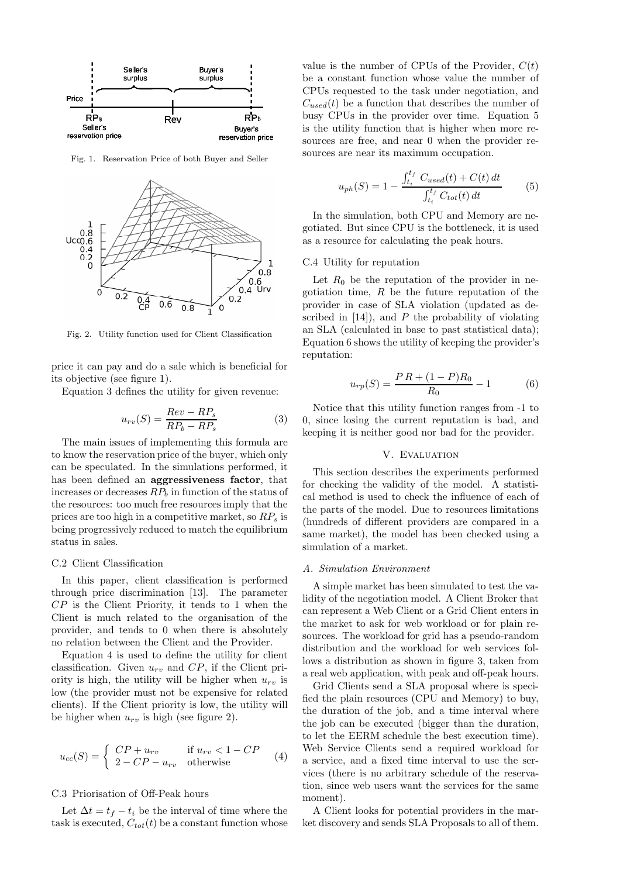

Fig. 1. Reservation Price of both Buyer and Seller



Fig. 2. Utility function used for Client Classification

price it can pay and do a sale which is beneficial for its objective (see figure 1).

Equation 3 defines the utility for given revenue:

$$
u_{rv}(S) = \frac{Rev - RP_s}{RP_b - RP_s} \tag{3}
$$

The main issues of implementing this formula are to know the reservation price of the buyer, which only can be speculated. In the simulations performed, it has been defined an aggressiveness factor, that increases or decreases  $RP_b$  in function of the status of the resources: too much free resources imply that the prices are too high in a competitive market, so  $RP_s$  is being progressively reduced to match the equilibrium status in sales.

#### C.2 Client Classification

In this paper, client classification is performed through price discrimination [13]. The parameter  $CP$  is the Client Priority, it tends to 1 when the Client is much related to the organisation of the provider, and tends to 0 when there is absolutely no relation between the Client and the Provider.

Equation 4 is used to define the utility for client classification. Given  $u_{rv}$  and  $CP$ , if the Client priority is high, the utility will be higher when  $u_{rv}$  is low (the provider must not be expensive for related clients). If the Client priority is low, the utility will be higher when  $u_{rv}$  is high (see figure 2).

$$
u_{cc}(S) = \begin{cases} CP + u_{rv} & \text{if } u_{rv} < 1 - CP \\ 2 - CP - u_{rv} & \text{otherwise} \end{cases}
$$
 (4)

## C.3 Priorisation of Off-Peak hours

Let  $\Delta t = t_f - t_i$  be the interval of time where the task is executed,  $C_{tot}(t)$  be a constant function whose value is the number of CPUs of the Provider,  $C(t)$ be a constant function whose value the number of CPUs requested to the task under negotiation, and  $C_{used}(t)$  be a function that describes the number of busy CPUs in the provider over time. Equation 5 is the utility function that is higher when more resources are free, and near 0 when the provider resources are near its maximum occupation.

$$
u_{ph}(S) = 1 - \frac{\int_{t_i}^{t_f} C_{used}(t) + C(t) dt}{\int_{t_i}^{t_f} C_{tot}(t) dt}
$$
 (5)

In the simulation, both CPU and Memory are negotiated. But since CPU is the bottleneck, it is used as a resource for calculating the peak hours.

#### C.4 Utility for reputation

Let  $R_0$  be the reputation of the provider in negotiation time,  $R$  be the future reputation of the provider in case of SLA violation (updated as described in  $[14]$ , and P the probability of violating an SLA (calculated in base to past statistical data); Equation 6 shows the utility of keeping the provider's reputation:

$$
u_{rp}(S) = \frac{PR + (1 - P)R_0}{R_0} - 1\tag{6}
$$

Notice that this utility function ranges from -1 to 0, since losing the current reputation is bad, and keeping it is neither good nor bad for the provider.

#### V. EVALUATION

This section describes the experiments performed for checking the validity of the model. A statistical method is used to check the influence of each of the parts of the model. Due to resources limitations (hundreds of different providers are compared in a same market), the model has been checked using a simulation of a market.

#### A. Simulation Environment

A simple market has been simulated to test the validity of the negotiation model. A Client Broker that can represent a Web Client or a Grid Client enters in the market to ask for web workload or for plain resources. The workload for grid has a pseudo-random distribution and the workload for web services follows a distribution as shown in figure 3, taken from a real web application, with peak and off-peak hours.

Grid Clients send a SLA proposal where is specified the plain resources (CPU and Memory) to buy, the duration of the job, and a time interval where the job can be executed (bigger than the duration, to let the EERM schedule the best execution time). Web Service Clients send a required workload for a service, and a fixed time interval to use the services (there is no arbitrary schedule of the reservation, since web users want the services for the same moment).

A Client looks for potential providers in the market discovery and sends SLA Proposals to all of them.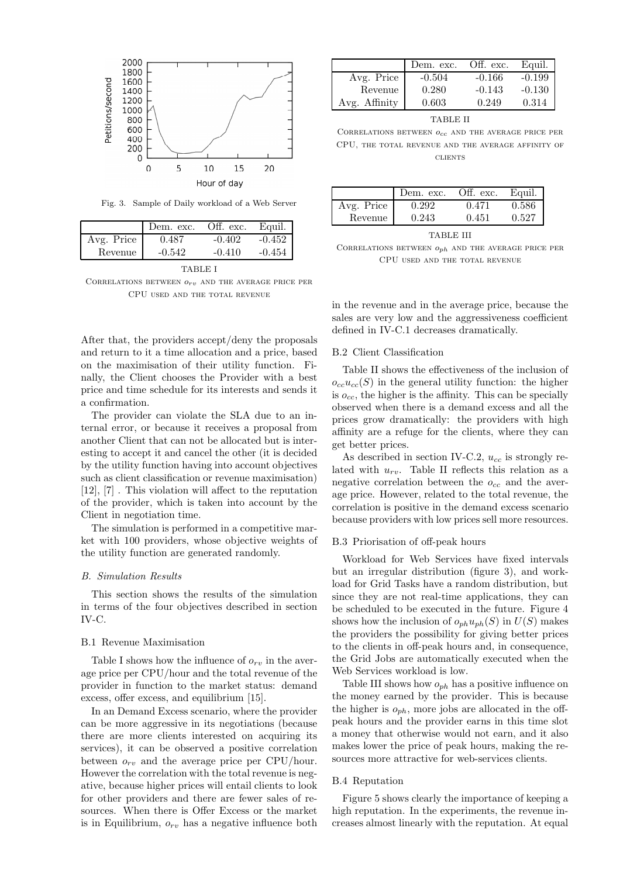

Fig. 3. Sample of Daily workload of a Web Server

|            | Dem. exc. | Off. exc. | Equil.   |
|------------|-----------|-----------|----------|
| Avg. Price | 0.487     | $-0.402$  | $-0.452$ |
| Revenue    | $-0.542$  | $-0.410$  | -0.454   |

TABLE I

CORRELATIONS BETWEEN  $o_{rv}$  and the average price per CPU used and the total revenue

After that, the providers accept/deny the proposals and return to it a time allocation and a price, based on the maximisation of their utility function. Finally, the Client chooses the Provider with a best price and time schedule for its interests and sends it a confirmation.

The provider can violate the SLA due to an internal error, or because it receives a proposal from another Client that can not be allocated but is interesting to accept it and cancel the other (it is decided by the utility function having into account objectives such as client classification or revenue maximisation) [12], [7] . This violation will affect to the reputation of the provider, which is taken into account by the Client in negotiation time.

The simulation is performed in a competitive market with 100 providers, whose objective weights of the utility function are generated randomly.

## B. Simulation Results

This section shows the results of the simulation in terms of the four objectives described in section IV-C.

## B.1 Revenue Maximisation

Table I shows how the influence of  $o_{rv}$  in the average price per CPU/hour and the total revenue of the provider in function to the market status: demand excess, offer excess, and equilibrium [15].

In an Demand Excess scenario, where the provider can be more aggressive in its negotiations (because there are more clients interested on acquiring its services), it can be observed a positive correlation between  $o_{rv}$  and the average price per CPU/hour. However the correlation with the total revenue is negative, because higher prices will entail clients to look for other providers and there are fewer sales of resources. When there is Offer Excess or the market is in Equilibrium,  $o_{rv}$  has a negative influence both

|               | Dem. exc. | Off. exc. | Equil.   |
|---------------|-----------|-----------|----------|
| Avg. Price    | $-0.504$  | $-0.166$  | $-0.199$ |
| Revenue       | 0.280     | $-0.143$  | $-0.130$ |
| Avg. Affinity | 0.603     | 0.249     | 0.314    |

TABLE II

CORRELATIONS BETWEEN  $o_{cc}$  and the average price per CPU, the total revenue and the average affinity of **CLIENTS** 

|            | Dem. exc. | Off. exc. | Equil. |
|------------|-----------|-----------|--------|
| Avg. Price | 0.292     | 0.471     | 0.586  |
| Revenue    | 0.243     | 0.451     | 0.527  |

TABLE III

CORRELATIONS BETWEEN  $o_{ph}$  and the average price per CPU used and the total revenue

in the revenue and in the average price, because the sales are very low and the aggressiveness coefficient defined in IV-C.1 decreases dramatically.

#### B.2 Client Classification

Table II shows the effectiveness of the inclusion of  $o_{cc}u_{cc}(S)$  in the general utility function: the higher is  $o_{cc}$ , the higher is the affinity. This can be specially observed when there is a demand excess and all the prices grow dramatically: the providers with high affinity are a refuge for the clients, where they can get better prices.

As described in section IV-C.2,  $u_{cc}$  is strongly related with  $u_{rv}$ . Table II reflects this relation as a negative correlation between the  $o_{cc}$  and the average price. However, related to the total revenue, the correlation is positive in the demand excess scenario because providers with low prices sell more resources.

### B.3 Priorisation of off-peak hours

Workload for Web Services have fixed intervals but an irregular distribution (figure 3), and workload for Grid Tasks have a random distribution, but since they are not real-time applications, they can be scheduled to be executed in the future. Figure 4 shows how the inclusion of  $o_{ph}u_{ph}(S)$  in  $U(S)$  makes the providers the possibility for giving better prices to the clients in off-peak hours and, in consequence, the Grid Jobs are automatically executed when the Web Services workload is low.

Table III shows how  $o_{ph}$  has a positive influence on the money earned by the provider. This is because the higher is  $o_{ph}$ , more jobs are allocated in the offpeak hours and the provider earns in this time slot a money that otherwise would not earn, and it also makes lower the price of peak hours, making the resources more attractive for web-services clients.

## B.4 Reputation

Figure 5 shows clearly the importance of keeping a high reputation. In the experiments, the revenue increases almost linearly with the reputation. At equal